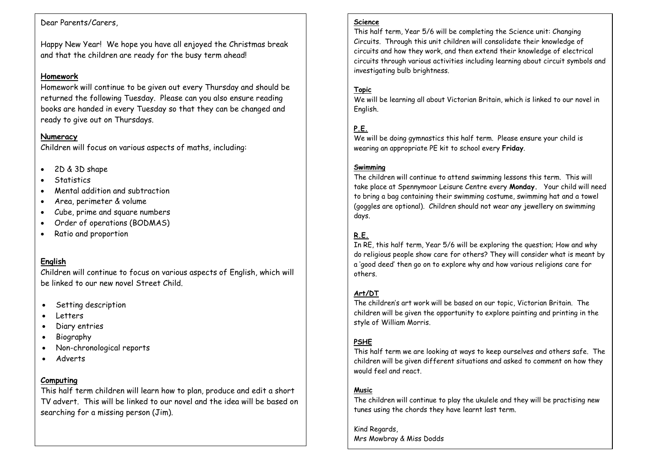#### Dear Parents/Carers,

Happy New Year! We hope you have all enjoyed the Christmas break and that the children are ready for the busy term ahead!

## And **Homework**

Homework will continue to be given out every Thursday and should be returned the following Tuesday. Please can you also ensure reading books are handed in every Tuesday so that they can be changed and ready to give out on Thursdays.

## **Numeracy**

Children will focus on various aspects of maths, including:

- 2D & 3D shape
- **Statistics**
- Mental addition and subtraction
- Area, perimeter & volume
- Cube, prime and square numbers
- Order of operations (BODMAS)
- Ratio and proportion

## **English**

Children will continue to focus on various aspects of English, which will be linked to our new novel Street Child.

- Setting description
- Letters
- Diary entries
- Biography
- Non-chronological reports
- Adverts

## **Computing**

This half term children will learn how to plan, produce and edit a short TV advert. This will be linked to our novel and the idea will be based on searching for a missing person (Jim).

#### **Science**

This half term, Year 5/6 will be completing the Science unit: Changing Circuits. Through this unit children will consolidate their knowledge of circuits and how they work, and then extend their knowledge of electrical circuits through various activities including learning about circuit symbols and investigating bulb brightness.

### **Topic**

We will be learning all about Victorian Britain, which is linked to our novel in English.

# **P.E.**

We will be doing gymnastics this half term. Please ensure your child is wearing an appropriate PE kit to school every **Friday**.

### **Swimming**

The children will continue to attend swimming lessons this term. This will take place at Spennymoor Leisure Centre every **Monday.** Your child will need to bring a bag containing their swimming costume, swimming hat and a towel (goggles are optional). Children should not wear any jewellery on swimming days.

# **R.E.**

In RE, this half term, Year 5/6 will be exploring the question; How and why do religious people show care for others? They will consider what is meant by a 'good deed' then go on to explore why and how various religions care for others.

### **Art/DT**

The children's art work will be based on our topic, Victorian Britain. The children will be given the opportunity to explore painting and printing in the style of William Morris.

## **PSHE**

This half term we are looking at ways to keep ourselves and others safe. The children will be given different situations and asked to comment on how they would feel and react.

### **Music**

The children will continue to play the ukulele and they will be practising new tunes using the chords they have learnt last term.

Kind Regards, Mrs Mowbray & Miss Dodds